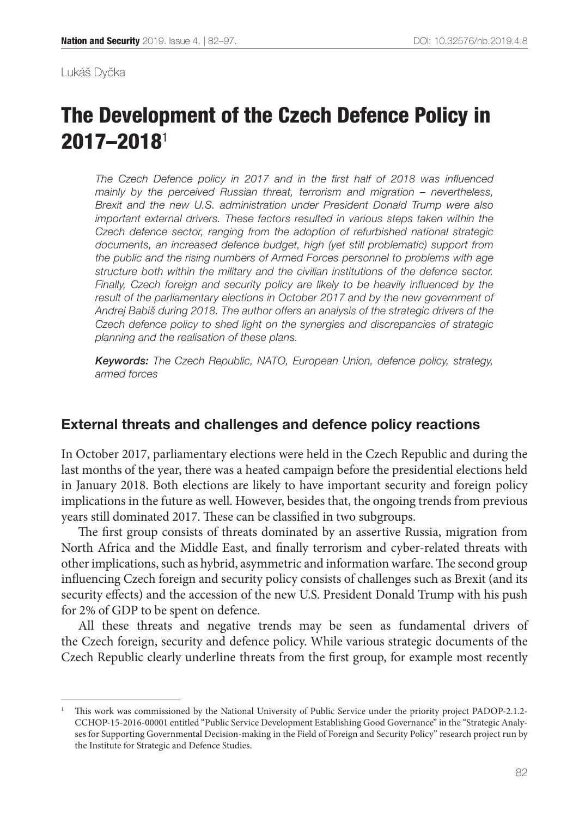Lukáš Dyčka

# The Development of the Czech Defence Policy in 2017–2018<sup>1</sup>

*The Czech Defence policy in 2017 and in the first half of 2018 was influenced mainly by the perceived Russian threat, terrorism and migration – nevertheless, Brexit and the new U.S. administration under President Donald Trump were also important external drivers. These factors resulted in various steps taken within the Czech defence sector, ranging from the adoption of refurbished national strategic documents, an increased defence budget, high (yet still problematic) support from the public and the rising numbers of Armed Forces personnel to problems with age structure both within the military and the civilian institutions of the defence sector. Finally, Czech foreign and security policy are likely to be heavily influenced by the result of the parliamentary elections in October 2017 and by the new government of Andrej Babiš during 2018. The author offers an analysis of the strategic drivers of the Czech defence policy to shed light on the synergies and discrepancies of strategic planning and the realisation of these plans.*

*Keywords: The Czech Republic, NATO, European Union, defence policy, strategy, armed forces*

#### External threats and challenges and defence policy reactions

In October 2017, parliamentary elections were held in the Czech Republic and during the last months of the year, there was a heated campaign before the presidential elections held in January 2018. Both elections are likely to have important security and foreign policy implications in the future as well. However, besides that, the ongoing trends from previous years still dominated 2017. These can be classified in two subgroups.

The first group consists of threats dominated by an assertive Russia, migration from North Africa and the Middle East, and finally terrorism and cyber-related threats with other implications, such as hybrid, asymmetric and information warfare. The second group influencing Czech foreign and security policy consists of challenges such as Brexit (and its security effects) and the accession of the new U.S. President Donald Trump with his push for 2% of GDP to be spent on defence.

All these threats and negative trends may be seen as fundamental drivers of the Czech foreign, security and defence policy. While various strategic documents of the Czech Republic clearly underline threats from the first group, for example most recently

<sup>1</sup> This work was commissioned by the National University of Public Service under the priority project PADOP-2.1.2- CCHOP-[15-2016-00001](tel:15201600001) entitled "Public Service Development Establishing Good Governance" in the "Strategic Analyses for Supporting Governmental Decision-making in the Field of Foreign and Security Policy" research project run by the Institute for Strategic and Defence Studies.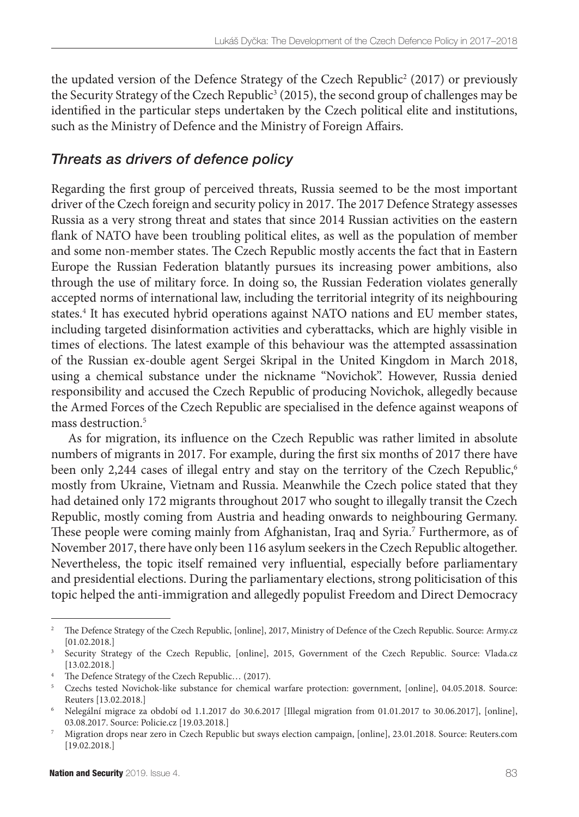the updated version of the Defence Strategy of the Czech Republic<sup>2</sup> (2017) or previously the Security Strategy of the Czech Republic<sup>3</sup> (2015), the second group of challenges may be identified in the particular steps undertaken by the Czech political elite and institutions, such as the Ministry of Defence and the Ministry of Foreign Affairs.

#### *Threats as drivers of defence policy*

Regarding the first group of perceived threats, Russia seemed to be the most important driver of the Czech foreign and security policy in 2017. The 2017 Defence Strategy assesses Russia as a very strong threat and states that since 2014 Russian activities on the eastern flank of NATO have been troubling political elites, as well as the population of member and some non-member states. The Czech Republic mostly accents the fact that in Eastern Europe the Russian Federation blatantly pursues its increasing power ambitions, also through the use of military force. In doing so, the Russian Federation violates generally accepted norms of international law, including the territorial integrity of its neighbouring states.4 It has executed hybrid operations against NATO nations and EU member states, including targeted disinformation activities and cyberattacks, which are highly visible in times of elections. The latest example of this behaviour was the attempted assassination of the Russian ex-double agent Sergei Skripal in the United Kingdom in March 2018, using a chemical substance under the nickname "Novichok". However, Russia denied responsibility and accused the Czech Republic of producing Novichok, allegedly because the Armed Forces of the Czech Republic are specialised in the defence against weapons of mass destruction.5

As for migration, its influence on the Czech Republic was rather limited in absolute numbers of migrants in 2017. For example, during the first six months of 2017 there have been only 2,244 cases of illegal entry and stay on the territory of the Czech Republic,<sup>6</sup> mostly from Ukraine, Vietnam and Russia. Meanwhile the Czech police stated that they had detained only 172 migrants throughout 2017 who sought to illegally transit the Czech Republic, mostly coming from Austria and heading onwards to neighbouring Germany. These people were coming mainly from Afghanistan, Iraq and Syria.<sup>7</sup> Furthermore, as of November 2017, there have only been 116 asylum seekers in the Czech Republic altogether. Nevertheless, the topic itself remained very influential, especially before parliamentary and presidential elections. During the parliamentary elections, strong politicisation of this topic helped the anti-immigration and allegedly populist Freedom and Direct Democracy

<sup>&</sup>lt;sup>2</sup> [The Defence Strategy of the Czech Republic](http://www.army.cz/images/id_8001_9000/8503/DefenceStrategy2017.pdf), [online], 2017, Ministry of Defence of the Czech Republic. Source: Army.cz [01.02.2018.]

<sup>&</sup>lt;sup>3</sup> [Security Strategy of the Czech Republic](https://www.vlada.cz/assets/ppov/brs/dokumenty/bezpecnostni-strategie-2015.pdf), [online], 2015, Government of the Czech Republic. Source: Vlada.cz [13.02.2018.]

<sup>&</sup>lt;sup>4</sup> [The Defence Strategy of the Czech Republic](http://www.army.cz/images/id_8001_9000/8503/DefenceStrategy2017.pdf)... (2017).

<sup>5</sup> [Czechs tested Novichok-like substance for chemical warfare protection: government](https://www.reuters.com/article/us-britain-russia-skripal-czech/czechs-tested-novichok-like-substance-for-chemical-warfare-protection-government-idUSKBN1I51K2), [online], 04.05.2018. Source: Reuters [13.02.2018.]

<sup>6</sup> [Nelegální migrace za období od 1.1.2017 do 30.6.2017](http://www.policie.cz/clanek/nelegalni-migrace-za-obdobi-od-1-1-2017-do-30-6-2017.aspx) [Illegal migration from 01.01.2017 to 30.06.2017], [online], 03.08.2017. Source: Policie.cz [19.03.2018.]

<sup>7</sup> [Migration drops near zero in Czech Republic but sways election campaign](https://www.reuters.com/article/us-czech-election-president-migration/migration-drops-near-zero-in-czech-republic-but-sways-election-campaign-idUSKBN1FC25N), [online], 23.01.2018. Source: Reuters.com [19.02.2018.]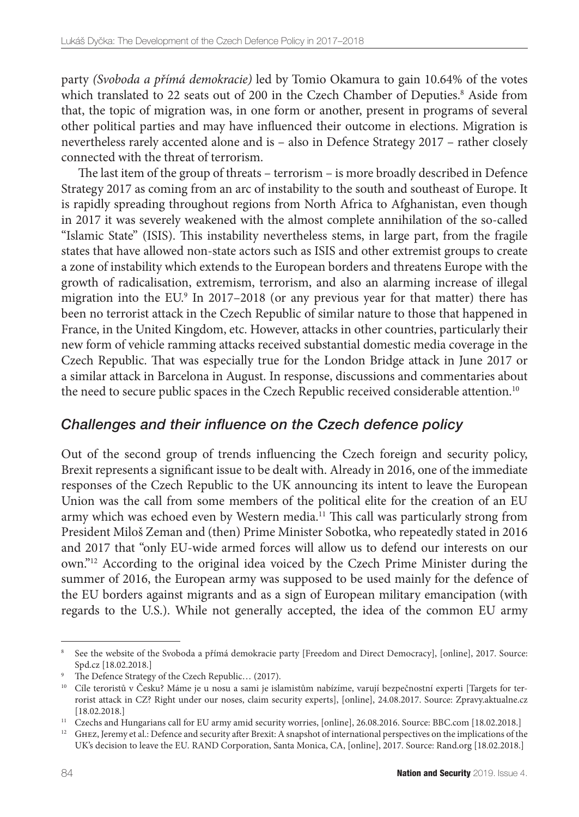party *(Svoboda a přímá demokracie)* led by Tomio Okamura to gain 10.64% of the votes which translated to 22 seats out of 200 in the Czech Chamber of Deputies.<sup>8</sup> Aside from that, the topic of migration was, in one form or another, present in programs of several other political parties and may have influenced their outcome in elections. Migration is nevertheless rarely accented alone and is – also in Defence Strategy 2017 – rather closely connected with the threat of terrorism.

The last item of the group of threats – terrorism – is more broadly described in Defence Strategy 2017 as coming from an arc of instability to the south and southeast of Europe. It is rapidly spreading throughout regions from North Africa to Afghanistan, even though in 2017 it was severely weakened with the almost complete annihilation of the so-called "Islamic State" (ISIS). This instability nevertheless stems, in large part, from the fragile states that have allowed non-state actors such as ISIS and other extremist groups to create a zone of instability which extends to the European borders and threatens Europe with the growth of radicalisation, extremism, terrorism, and also an alarming increase of illegal migration into the EU.9 In 2017–2018 (or any previous year for that matter) there has been no terrorist attack in the Czech Republic of similar nature to those that happened in France, in the United Kingdom, etc. However, attacks in other countries, particularly their new form of vehicle ramming attacks received substantial domestic media coverage in the Czech Republic. That was especially true for the London Bridge attack in June 2017 or a similar attack in Barcelona in August. In response, discussions and commentaries about the need to secure public spaces in the Czech Republic received considerable attention.<sup>10</sup>

## *Challenges and their influence on the Czech defence policy*

Out of the second group of trends influencing the Czech foreign and security policy, Brexit represents a significant issue to be dealt with. Already in 2016, one of the immediate responses of the Czech Republic to the UK announcing its intent to leave the European Union was the call from some members of the political elite for the creation of an EU army which was echoed even by Western media.<sup>11</sup> This call was particularly strong from President Miloš Zeman and (then) Prime Minister Sobotka, who repeatedly stated in 2016 and 2017 that "only EU-wide armed forces will allow us to defend our interests on our own."12 According to the original idea voiced by the Czech Prime Minister during the summer of 2016, the European army was supposed to be used mainly for the defence of the EU borders against migrants and as a sign of European military emancipation (with regards to the U.S.). While not generally accepted, the idea of the common EU army

<sup>8</sup> See the website of the [Svoboda a přímá demokracie party](http://www.spd.cz/) [Freedom and Direct Democracy], [online], 2017. Source: Spd.cz [18.02.2018.]

<sup>&</sup>lt;sup>9</sup> The Defence Strategy of the Czech Republic... (2017).

<sup>10</sup> [Cíle teroristů v Česku? Máme je u nosu a sami je islamistům nabízíme, varují bezpečnostní experti](https://zpravy.aktualne.cz/zahranici/cile-teroristu-mame-je-u-nosu-a-sami-je-islamistum-nabizime/r~1a314bba871111e7aec7002590604f2e/) [Targets for terrorist attack in CZ? Right under our noses, claim security experts], [online], 24.08.2017. Source: Zpravy.aktualne.cz [18.02.2018.]

<sup>&</sup>lt;sup>11</sup> [Czechs and Hungarians call for EU army amid security worries,](http://www.bbc.com/news/world-europe-37196802) [online], 26.08.2016. Source: BBC.com [18.02.2018.]

<sup>&</sup>lt;sup>12</sup> GHEZ, Jeremy et al.: [Defence and security after Brexit: A snapshot of international perspectives on the implications of the](https://www.rand.org/pubs/perspectives/PE225.html) [UK's decision to leave the EU](https://www.rand.org/pubs/perspectives/PE225.html)*.* RAND Corporation, Santa Monica, CA, [online], 2017. Source: Rand.org [18.02.2018.]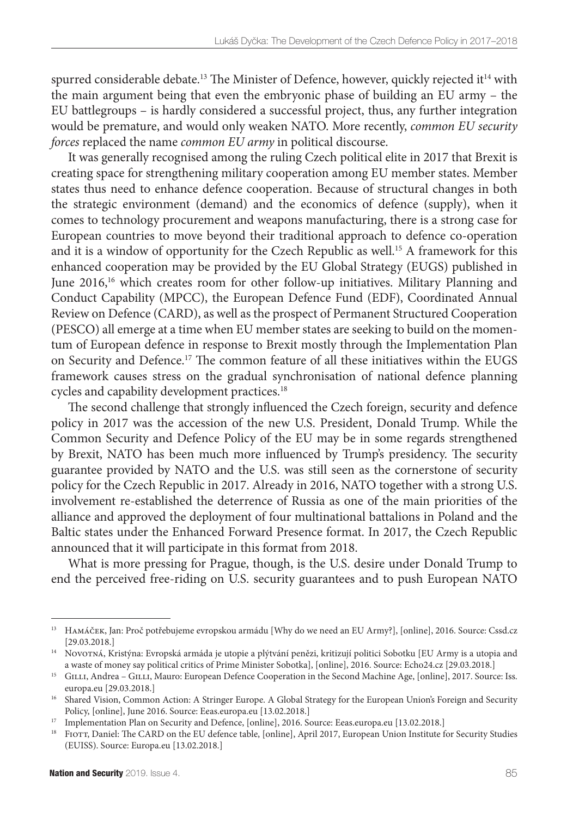spurred considerable debate.<sup>13</sup> The Minister of Defence, however, quickly rejected it<sup>14</sup> with the main argument being that even the embryonic phase of building an EU army – the EU battlegroups – is hardly considered a successful project, thus, any further integration would be premature, and would only weaken NATO. More recently, *common EU security forces* replaced the name *common EU army* in political discourse.

It was generally recognised among the ruling Czech political elite in 2017 that Brexit is creating space for strengthening military cooperation among EU member states. Member states thus need to enhance defence cooperation. Because of structural changes in both the strategic environment (demand) and the economics of defence (supply), when it comes to technology procurement and weapons manufacturing, there is a strong case for European countries to move beyond their traditional approach to defence co-operation and it is a window of opportunity for the Czech Republic as well.15 A framework for this enhanced cooperation may be provided by the EU Global Strategy (EUGS) published in June 2016,16 which creates room for other follow-up initiatives. Military Planning and Conduct Capability (MPCC), the European Defence Fund (EDF), Coordinated Annual Review on Defence (CARD), as well as the prospect of Permanent Structured Cooperation (PESCO) all emerge at a time when EU member states are seeking to build on the momentum of European defence in response to Brexit mostly through the Implementation Plan on Security and Defence.17 The common feature of all these initiatives within the EUGS framework causes stress on the gradual synchronisation of national defence planning cycles and capability development practices.18

The second challenge that strongly influenced the Czech foreign, security and defence policy in 2017 was the accession of the new U.S. President, Donald Trump. While the Common Security and Defence Policy of the EU may be in some regards strengthened by Brexit, NATO has been much more influenced by Trump's presidency. The security guarantee provided by NATO and the U.S. was still seen as the cornerstone of security policy for the Czech Republic in 2017. Already in 2016, NATO together with a strong U.S. involvement re-established the deterrence of Russia as one of the main priorities of the alliance and approved the deployment of four multinational battalions in Poland and the Baltic states under the Enhanced Forward Presence format. In 2017, the Czech Republic announced that it will participate in this format from 2018.

What is more pressing for Prague, though, is the U.S. desire under Donald Trump to end the perceived free-riding on U.S. security guarantees and to push European NATO

<sup>&</sup>lt;sup>13</sup> HAMÁČEK, Jan: [Proč potřebujeme evropskou armádu](https://www.cssd.cz/aktualne/blogy/proc-potrebujeme-evropskou-armadu/) [Why do we need an EU Army?], [online], 2016. Source: Cssd.cz [29.03.2018.]

<sup>&</sup>lt;sup>14</sup> Novo $T$ ná, Kristýna: [Evropská armáda je utopie a plýtvání penězi, kritizují politici Sobotku](http://echo24.cz/a/iubn7/evropska-armada-je-utopie-a-plytvani-penezi-kritizuji-politici-sobotku) [EU Army is a utopia and a waste of money say political critics of Prime Minister Sobotka], [online], 2016. Source: Echo24.cz [29.03.2018.]

<sup>&</sup>lt;sup>15</sup> GILLI, Andrea – GILLI, Mauro: [European Defence Cooperation in the Second Machine Age,](http://www.iss.europa.eu/de/publikationen/detail/article/european-defence-cooperation-in-the-second-machine-age/) [online], 2017. Source: Iss. europa.eu [29.03.2018.]

<sup>&</sup>lt;sup>16</sup> Shared Vision, Common Action: A Stringer Europe. A Global Strategy for the European Union's Foreign and Security [Policy,](http://eeas.europa.eu/archives/docs/top_stories/pdf/eugs_review_web.pdf) [online], June 2016. Source: Eeas.europa.eu [13.02.2018.]

<sup>&</sup>lt;sup>17</sup> [Implementation Plan on Security and Defence,](https://eeas.europa.eu/sites/eeas/files/implementation_plan_on_security_and_defence_02-03-2018_jus_0.pdf) [online], 2016. Source: Eeas.europa.eu [13.02.2018.]

<sup>&</sup>lt;sup>18</sup> FIOTT, Daniel: [The CARD on the EU defence table,](https://europa.eu/globalstrategy/sites/globalstrategy/files/opinion/files/the-card-on-the-eu-defence-table.pdf) [online], April 2017, European Union Institute for Security Studies (EUISS). Source: Europa.eu [13.02.2018.]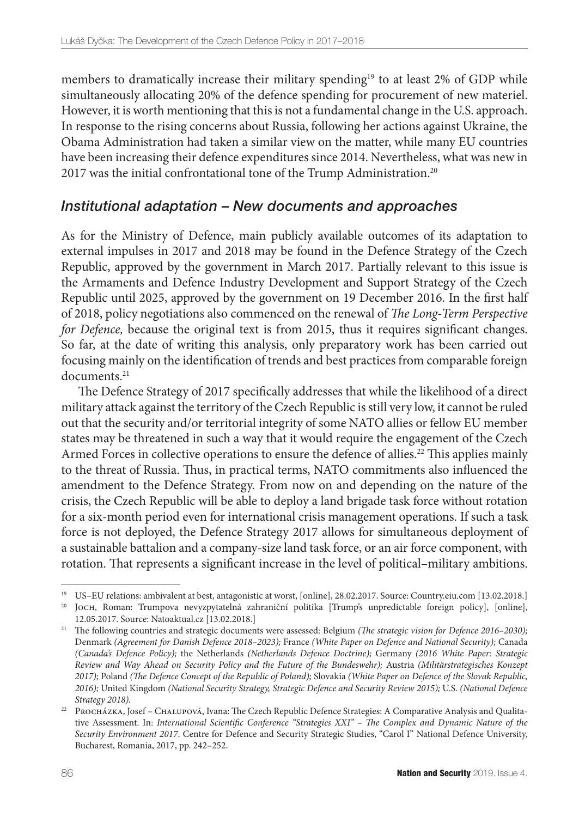members to dramatically increase their military spending<sup>19</sup> to at least 2% of GDP while simultaneously allocating 20% of the defence spending for procurement of new materiel. However, it is worth mentioning that this is not a fundamental change in the U.S. approach. In response to the rising concerns about Russia, following her actions against Ukraine, the Obama Administration had taken a similar view on the matter, while many EU countries have been increasing their defence expenditures since 2014. Nevertheless, what was new in 2017 was the initial confrontational tone of the Trump Administration.<sup>20</sup>

## *Institutional adaptation – New documents and approaches*

As for the Ministry of Defence, main publicly available outcomes of its adaptation to external impulses in 2017 and 2018 may be found in the Defence Strategy of the Czech Republic, approved by the government in March 2017. Partially relevant to this issue is the Armaments and Defence Industry Development and Support Strategy of the Czech Republic until 2025, approved by the government on 19 December 2016. In the first half of 2018, policy negotiations also commenced on the renewal of *The Long-Term Perspective for Defence*, because the original text is from 2015, thus it requires significant changes. So far, at the date of writing this analysis, only preparatory work has been carried out focusing mainly on the identification of trends and best practices from comparable foreign documents.<sup>21</sup>

The Defence Strategy of 2017 specifically addresses that while the likelihood of a direct military attack against the territory of the Czech Republic is still very low, it cannot be ruled out that the security and/or territorial integrity of some NATO allies or fellow EU member states may be threatened in such a way that it would require the engagement of the Czech Armed Forces in collective operations to ensure the defence of allies.<sup>22</sup> This applies mainly to the threat of Russia. Thus, in practical terms, NATO commitments also influenced the amendment to the Defence Strategy. From now on and depending on the nature of the crisis, the Czech Republic will be able to deploy a land brigade task force without rotation for a six-month period even for international crisis management operations. If such a task force is not deployed, the Defence Strategy 2017 allows for simultaneous deployment of a sustainable battalion and a company-size land task force, or an air force component, with rotation. That represents a significant increase in the level of political–military ambitions.

<sup>19</sup> [US–EU relations: ambivalent at best, antagonistic at worst,](https://country.eiu.com/article.aspx?articleid=1715169755&Country-=Czech Republic&topic=Politics_2) [online], 28.02.2017. Source: Country.eiu.com [13.02.2018.]

<sup>20</sup> Joch, Roman: [Trumpova nevyzpytatelná zahraniční politika](http://www.natoaktual.cz/trumpova-nevyzpytatelna-zahranicni-politika-f4z-na_analyzy.aspx?c=A170512_105230_na_analyzy_m02) [Trump's unpredictable foreign policy], [online], 12.05.2017. Source: Natoaktual.cz [13.02.2018.]

<sup>&</sup>lt;sup>21</sup> The following countries and strategic documents were assessed: Belgium *(The strategic vision for Defence 2016–2030)*; Denmark *(Agreement for Danish Defence 2018–2023);* France *(White Paper on Defence and National Security);* Canada *(Canada's Defence Policy);* the Netherlands *(Netherlands Defence Doctrine);* Germany *(2016 White Paper: Strategic Review and Way Ahead on Security Policy and the Future of the Bundeswehr);* Austria *(Militärstrategisches Konzept 2017);* Poland *(The Defence Concept of the Republic of Poland);* Slovakia *(White Paper on Defence of the Slovak Republic, 2016);* United Kingdom *(National Security Strategy, Strategic Defence and Security Review 2015);* U.S. *(National Defence Strategy 2018).*

<sup>22</sup> Procházka, Josef – Chalupová, Ivana: The Czech Republic Defence Strategies: A Comparative Analysis and Qualitative Assessment. In: *International Scientific Conference "Strategies XXI" – The Complex and Dynamic Nature of the Security Environment 2017*. Centre for Defence and Security Strategic Studies, "Carol I" National Defence University, Bucharest, Romania, 2017, pp. 242–252.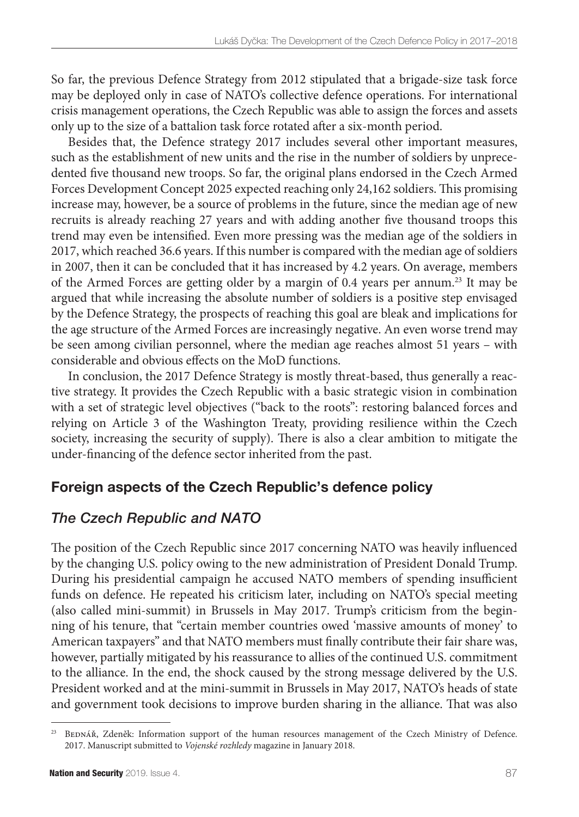So far, the previous Defence Strategy from 2012 stipulated that a brigade-size task force may be deployed only in case of NATO's collective defence operations. For international crisis management operations, the Czech Republic was able to assign the forces and assets only up to the size of a battalion task force rotated after a six-month period.

Besides that, the Defence strategy 2017 includes several other important measures, such as the establishment of new units and the rise in the number of soldiers by unprecedented five thousand new troops. So far, the original plans endorsed in the Czech Armed Forces Development Concept 2025 expected reaching only 24,162 soldiers. This promising increase may, however, be a source of problems in the future, since the median age of new recruits is already reaching 27 years and with adding another five thousand troops this trend may even be intensified. Even more pressing was the median age of the soldiers in 2017, which reached 36.6 years. If this number is compared with the median age of soldiers in 2007, then it can be concluded that it has increased by 4.2 years. On average, members of the Armed Forces are getting older by a margin of 0.4 years per annum.23 It may be argued that while increasing the absolute number of soldiers is a positive step envisaged by the Defence Strategy, the prospects of reaching this goal are bleak and implications for the age structure of the Armed Forces are increasingly negative. An even worse trend may be seen among civilian personnel, where the median age reaches almost 51 years – with considerable and obvious effects on the MoD functions.

In conclusion, the 2017 Defence Strategy is mostly threat-based, thus generally a reactive strategy. It provides the Czech Republic with a basic strategic vision in combination with a set of strategic level objectives ("back to the roots": restoring balanced forces and relying on Article 3 of the Washington Treaty, providing resilience within the Czech society, increasing the security of supply). There is also a clear ambition to mitigate the under-financing of the defence sector inherited from the past.

# Foreign aspects of the Czech Republic's defence policy

# *The Czech Republic and NATO*

The position of the Czech Republic since 2017 concerning NATO was heavily influenced by the changing U.S. policy owing to the new administration of President Donald Trump. During his presidential campaign he accused NATO members of spending insufficient funds on defence. He repeated his criticism later, including on NATO's special meeting (also called mini-summit) in Brussels in May 2017. Trump's criticism from the beginning of his tenure, that "certain member countries owed 'massive amounts of money' to American taxpayers" and that NATO members must finally contribute their fair share was, however, partially mitigated by his reassurance to allies of the continued U.S. commitment to the alliance. In the end, the shock caused by the strong message delivered by the U.S. President worked and at the mini-summit in Brussels in May 2017, NATO's heads of state and government took decisions to improve burden sharing in the alliance. That was also

BEDNÁŘ, Zdeněk: Information support of the human resources management of the Czech Ministry of Defence. 2017. Manuscript submitted to *Vojenské rozhledy* magazine in January 2018.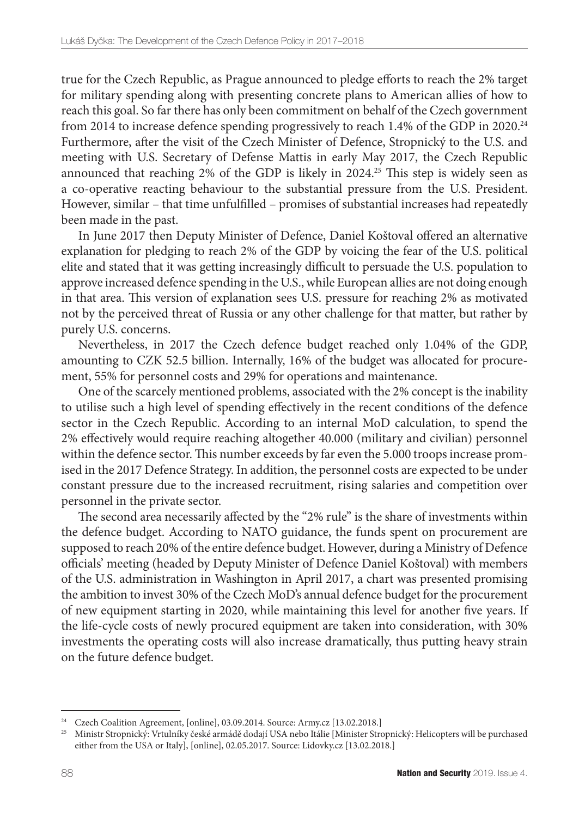true for the Czech Republic, as Prague announced to pledge efforts to reach the 2% target for military spending along with presenting concrete plans to American allies of how to reach this goal. So far there has only been commitment on behalf of the Czech government from 2014 to increase defence spending progressively to reach 1.4% of the GDP in 2020.<sup>24</sup> Furthermore, after the visit of the Czech Minister of Defence, Stropnický to the U.S. and meeting with U.S. Secretary of Defense Mattis in early May 2017, the Czech Republic announced that reaching 2% of the GDP is likely in 2024.<sup>25</sup> This step is widely seen as a co-operative reacting behaviour to the substantial pressure from the U.S. President. However, similar – that time unfulfilled – promises of substantial increases had repeatedly been made in the past.

In June 2017 then Deputy Minister of Defence, Daniel Koštoval offered an alternative explanation for pledging to reach 2% of the GDP by voicing the fear of the U.S. political elite and stated that it was getting increasingly difficult to persuade the U.S. population to approve increased defence spending in the U.S., while European allies are not doing enough in that area. This version of explanation sees U.S. pressure for reaching 2% as motivated not by the perceived threat of Russia or any other challenge for that matter, but rather by purely U.S. concerns.

Nevertheless, in 2017 the Czech defence budget reached only 1.04% of the GDP, amounting to CZK 52.5 billion. Internally, 16% of the budget was allocated for procurement, 55% for personnel costs and 29% for operations and maintenance.

One of the scarcely mentioned problems, associated with the 2% concept is the inability to utilise such a high level of spending effectively in the recent conditions of the defence sector in the Czech Republic. According to an internal MoD calculation, to spend the 2% effectively would require reaching altogether 40.000 (military and civilian) personnel within the defence sector. This number exceeds by far even the 5.000 troops increase promised in the 2017 Defence Strategy. In addition, the personnel costs are expected to be under constant pressure due to the increased recruitment, rising salaries and competition over personnel in the private sector.

The second area necessarily affected by the "2% rule" is the share of investments within the defence budget. According to NATO guidance, the funds spent on procurement are supposed to reach 20% of the entire defence budget. However, during a Ministry of Defence officials' meeting (headed by Deputy Minister of Defence Daniel Koštoval) with members of the U.S. administration in Washington in April 2017, a chart was presented promising the ambition to invest 30% of the Czech MoD's annual defence budget for the procurement of new equipment starting in 2020, while maintaining this level for another five years. If the life-cycle costs of newly procured equipment are taken into consideration, with 30% investments the operating costs will also increase dramatically, thus putting heavy strain on the future defence budget.

<sup>&</sup>lt;sup>24</sup> [Czech Coalition Agreement](http://www.army.cz/en/ministry-of-defence/newsroom/news/czech-governmental-coalition-sign-agreement-on-the-progressive-increase-of-the-defence-budget-101455), [online], 03.09.2014. Source: Army.cz [13.02.2018.]

<sup>25</sup> [Ministr Stropnický: Vrtulníky české armádě dodají USA nebo Itálie](http://www.lidovky.cz/ministr-stropnicky-vrtulniky-ceske-armade-dodaji-usa-nebo-italie-p9d-/zpravy-svet.aspx?c=A170502_224422_ln_zahranici_ELE) [Minister Stropnický: Helicopters will be purchased either from the USA or Italy], [online], 02.05.2017. Source: Lidovky.cz [13.02.2018.]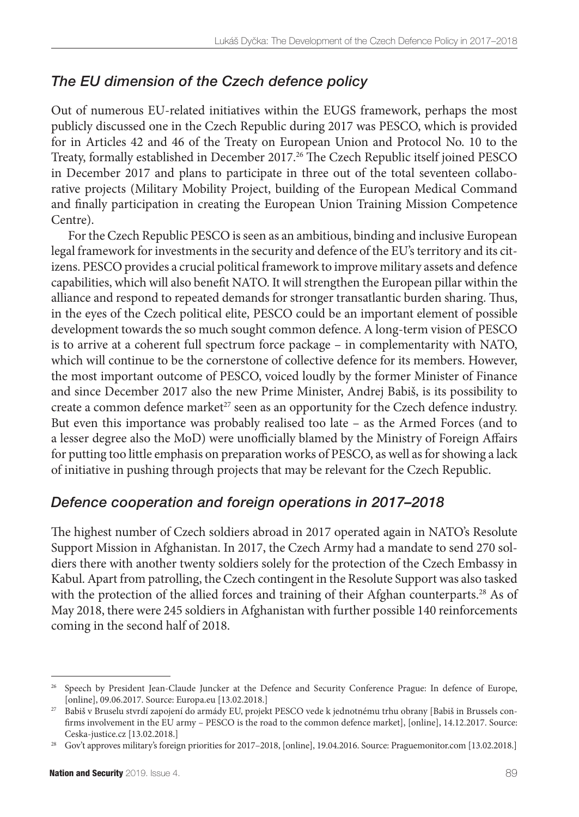# *The EU dimension of the Czech defence policy*

Out of numerous EU-related initiatives within the EUGS framework, perhaps the most publicly discussed one in the Czech Republic during 2017 was PESCO, which is provided for in Articles 42 and 46 of the Treaty on European Union and Protocol No. 10 to the Treaty, formally established in December 2017.26 The Czech Republic itself joined PESCO in December 2017 and plans to participate in three out of the total seventeen collaborative projects (Military Mobility Project, building of the European Medical Command and finally participation in creating the European Union Training Mission Competence Centre).

For the Czech Republic PESCO is seen as an ambitious, binding and inclusive European legal framework for investments in the security and defence of the EU's territory and its citizens. PESCO provides a crucial political framework to improve military assets and defence capabilities, which will also benefit NATO. It will strengthen the European pillar within the alliance and respond to repeated demands for stronger transatlantic burden sharing. Thus, in the eyes of the Czech political elite, PESCO could be an important element of possible development towards the so much sought common defence. A long-term vision of PESCO is to arrive at a coherent full spectrum force package – in complementarity with NATO, which will continue to be the cornerstone of collective defence for its members. However, the most important outcome of PESCO, voiced loudly by the former Minister of Finance and since December 2017 also the new Prime Minister, Andrej Babiš, is its possibility to create a common defence market<sup>27</sup> seen as an opportunity for the Czech defence industry. But even this importance was probably realised too late – as the Armed Forces (and to a lesser degree also the MoD) were unofficially blamed by the Ministry of Foreign Affairs for putting too little emphasis on preparation works of PESCO, as well as for showing a lack of initiative in pushing through projects that may be relevant for the Czech Republic.

## *Defence cooperation and foreign operations in 2017–2018*

The highest number of Czech soldiers abroad in 2017 operated again in NATO's Resolute Support Mission in Afghanistan. In 2017, the Czech Army had a mandate to send 270 soldiers there with another twenty soldiers solely for the protection of the Czech Embassy in Kabul. Apart from patrolling, the Czech contingent in the Resolute Support was also tasked with the protection of the allied forces and training of their Afghan counterparts.<sup>28</sup> As of May 2018, there were 245 soldiers in Afghanistan with further possible 140 reinforcements coming in the second half of 2018.

<sup>&</sup>lt;sup>26</sup> [Speech by President Jean-Claude Juncker at the Defence and Security Conference Prague: In defence of Europe](http://europa.eu/rapid/press-release_SPEECH-17-1581_en.htm), [online], 09.06.2017. Source: Europa.eu [13.02.2018.]

<sup>27</sup> [Babiš v Bruselu stvrdí zapojení do armády EU, projekt PESCO vede k jednotnému trhu obrany](http://www.ceska-justice.cz/2017/12/babis-bruselu-stvrdi-zapojeni-armady-eu-projekt-pesco-vede-k-jednotnemu-trhu-obrany/) [Babiš in Brussels confirms involvement in the EU army – PESCO is the road to the common defence market], [online], 14.12.2017. Source: Ceska-justice.cz [13.02.2018.]

<sup>28</sup> [Gov't approves military's foreign priorities for 2017–2018,](http://www.praguemonitor.com/2016/04/19/govt-approves-militarys-foreign-priorities-2017-2018) [online], 19.04.2016. Source: Praguemonitor.com [13.02.2018.]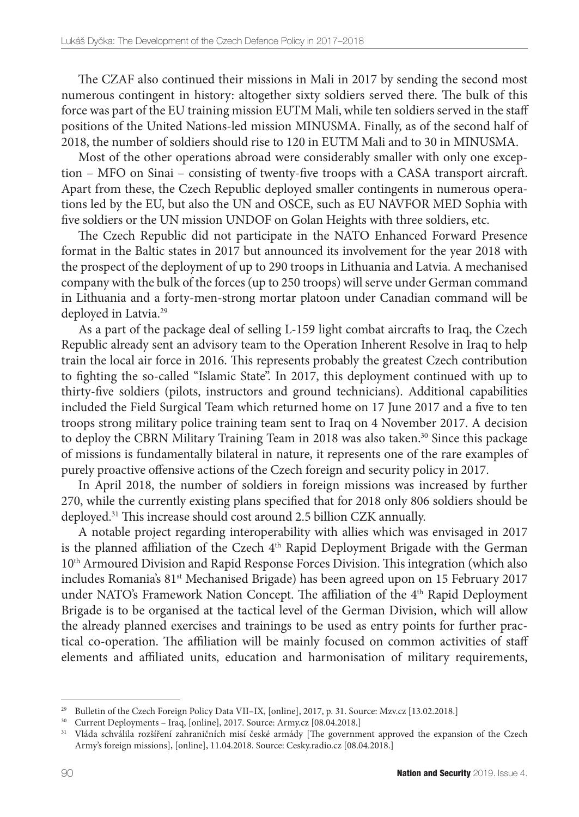The CZAF also continued their missions in Mali in 2017 by sending the second most numerous contingent in history: altogether sixty soldiers served there. The bulk of this force was part of the EU training mission EUTM Mali, while ten soldiers served in the staff positions of the United Nations-led mission MINUSMA. Finally, as of the second half of 2018, the number of soldiers should rise to 120 in EUTM Mali and to 30 in MINUSMA.

Most of the other operations abroad were considerably smaller with only one exception – MFO on Sinai – consisting of twenty-five troops with a CASA transport aircraft. Apart from these, the Czech Republic deployed smaller contingents in numerous operations led by the EU, but also the UN and OSCE, such as EU NAVFOR MED Sophia with five soldiers or the UN mission UNDOF on Golan Heights with three soldiers, etc.

The Czech Republic did not participate in the NATO Enhanced Forward Presence format in the Baltic states in 2017 but announced its involvement for the year 2018 with the prospect of the deployment of up to 290 troops in Lithuania and Latvia. A mechanised company with the bulk of the forces (up to 250 troops) will serve under German command in Lithuania and a forty-men-strong mortar platoon under Canadian command will be deployed in Latvia.<sup>29</sup>

As a part of the package deal of selling L-159 light combat aircrafts to Iraq, the Czech Republic already sent an advisory team to the Operation Inherent Resolve in Iraq to help train the local air force in 2016. This represents probably the greatest Czech contribution to fighting the so-called "Islamic State". In 2017, this deployment continued with up to thirty-five soldiers (pilots, instructors and ground technicians). Additional capabilities included the Field Surgical Team which returned home on 17 June 2017 and a five to ten troops strong military police training team sent to Iraq on 4 November 2017. A decision to deploy the CBRN Military Training Team in 2018 was also taken.<sup>30</sup> Since this package of missions is fundamentally bilateral in nature, it represents one of the rare examples of purely proactive offensive actions of the Czech foreign and security policy in 2017.

In April 2018, the number of soldiers in foreign missions was increased by further 270, while the currently existing plans specified that for 2018 only 806 soldiers should be deployed.31 This increase should cost around 2.5 billion CZK annually.

A notable project regarding interoperability with allies which was envisaged in 2017 is the planned affiliation of the Czech 4<sup>th</sup> Rapid Deployment Brigade with the German 10<sup>th</sup> Armoured Division and Rapid Response Forces Division. This integration (which also includes Romania's 81<sup>st</sup> Mechanised Brigade) has been agreed upon on 15 February 2017 under NATO's Framework Nation Concept. The affiliation of the 4<sup>th</sup> Rapid Deployment Brigade is to be organised at the tactical level of the German Division, which will allow the already planned exercises and trainings to be used as entry points for further practical co-operation. The affiliation will be mainly focused on common activities of staff elements and affiliated units, education and harmonisation of military requirements,

<sup>&</sup>lt;sup>29</sup> [Bulletin of the Czech Foreign Policy Data VII–IX](https://www.mzv.cz/jnp/cz/o_ministerstvu/organizacni_struktura/utvary_mzv/oazi_/mesicnik_zahranicni_politika_ceske.html), [online], 2017, p. 31. Source: Mzv.cz [13.02.2018.]

<sup>30</sup> [Current Deployments – Iraq](http://www.army.cz/en/foreign-operations/current/iraq/cbrn-training-team-140586/), [online], 2017. Source: Army.cz [08.04.2018.]

<sup>&</sup>lt;sup>31</sup> [Vláda schválila rozšíření zahraničních misí české armády](https://cesky.radio.cz/vlada-schvalila-rozsireni-zahranicnich-misi-ceske-armady-8164061) [The government approved the expansion of the Czech Army's foreign missions], [online], 11.04.2018. Source: Cesky.radio.cz [08.04.2018.]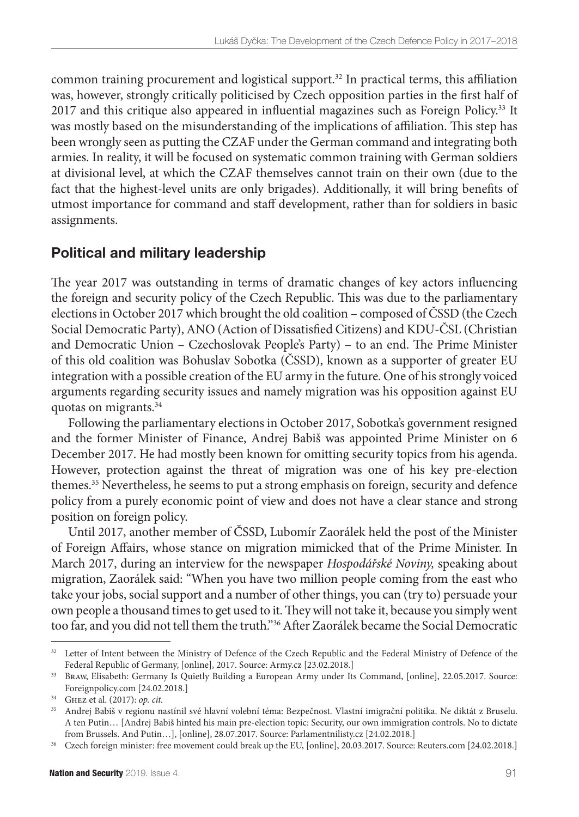common training procurement and logistical support.32 In practical terms, this affiliation was, however, strongly critically politicised by Czech opposition parties in the first half of 2017 and this critique also appeared in influential magazines such as Foreign Policy.<sup>33</sup> It was mostly based on the misunderstanding of the implications of affiliation. This step has been wrongly seen as putting the CZAF under the German command and integrating both armies. In reality, it will be focused on systematic common training with German soldiers at divisional level, at which the CZAF themselves cannot train on their own (due to the fact that the highest-level units are only brigades). Additionally, it will bring benefits of utmost importance for command and staff development, rather than for soldiers in basic assignments.

# Political and military leadership

The year 2017 was outstanding in terms of dramatic changes of key actors influencing the foreign and security policy of the Czech Republic. This was due to the parliamentary elections in October 2017 which brought the old coalition – composed of ČSSD (the Czech Social Democratic Party), ANO (Action of Dissatisfied Citizens) and KDU-ČSL (Christian and Democratic Union – Czechoslovak People's Party) – to an end. The Prime Minister of this old coalition was Bohuslav Sobotka (ČSSD), known as a supporter of greater EU integration with a possible creation of the EU army in the future. One of his strongly voiced arguments regarding security issues and namely migration was his opposition against EU quotas on migrants.34

Following the parliamentary elections in October 2017, Sobotka's government resigned and the former Minister of Finance, Andrej Babiš was appointed Prime Minister on 6 December 2017. He had mostly been known for omitting security topics from his agenda. However, protection against the threat of migration was one of his key pre-election themes.35 Nevertheless, he seems to put a strong emphasis on foreign, security and defence policy from a purely economic point of view and does not have a clear stance and strong position on foreign policy.

Until 2017, another member of ČSSD, Lubomír Zaorálek held the post of the Minister of Foreign Affairs, whose stance on migration mimicked that of the Prime Minister. In March 2017, during an interview for the newspaper *Hospodářské Noviny,* speaking about migration, Zaorálek said: "When you have two million people coming from the east who take your jobs, social support and a number of other things, you can (try to) persuade your own people a thousand times to get used to it. They will not take it, because you simply went too far, and you did not tell them the truth."36 After Zaorálek became the Social Democratic

<sup>&</sup>lt;sup>32</sup> Letter of Intent between the Ministry of Defence of the Czech Republic and the Federal Ministry of Defence of the [Federal Republic of Germany,](http://www.army.cz/assets/informacniservis/zpravodajstvi/smlouva-cr-srn_1.pdf) [online], 2017. Source: Army.cz [23.02.2018.]

<sup>33</sup> Braw, Elisabeth[: Germany Is Quietly Building a European Army under Its Command,](http://foreignpolicy.com/2017/05/22/germany-is-quietly-building-a-european-army-under-its-command/) [online], 22.05.2017. Source: Foreignpolicy.com [24.02.2018.]

<sup>34</sup> Ghez et al. (2017): *op. cit.*

<sup>&</sup>lt;sup>35</sup> Andrej Babiš v regionu nastínil své hlavní volební téma: Bezpečnost. Vlastní imigrační politika. Ne diktát z Bruselu. [A ten Putin…](https://www.parlamentnilisty.cz/politika/poslanecka-snemovna/Andrej-Babis-v-regionu-nastinil-sve-hlavni-volebni-tema-Bezpecnost-Vlastni-imigracni-politika-Ne-diktat-z-Bruselu-A-ten-Putin-497869) [Andrej Babiš hinted his main pre-election topic: Security, our own immigration controls. No to dictate from Brussels. And Putin…], [online], 28.07.2017. Source: Parlamentnilisty.cz [24.02.2018.]

<sup>36</sup> [Czech foreign minister: free movement could break up the EU](https://www.reuters.com/article/us-britain-eu-czech-minister/czech-foreign-minister-free-movement-could-break-up-the-eu-idUSKBN16R0QI), [online], 20.03.2017. Source: Reuters.com [24.02.2018.]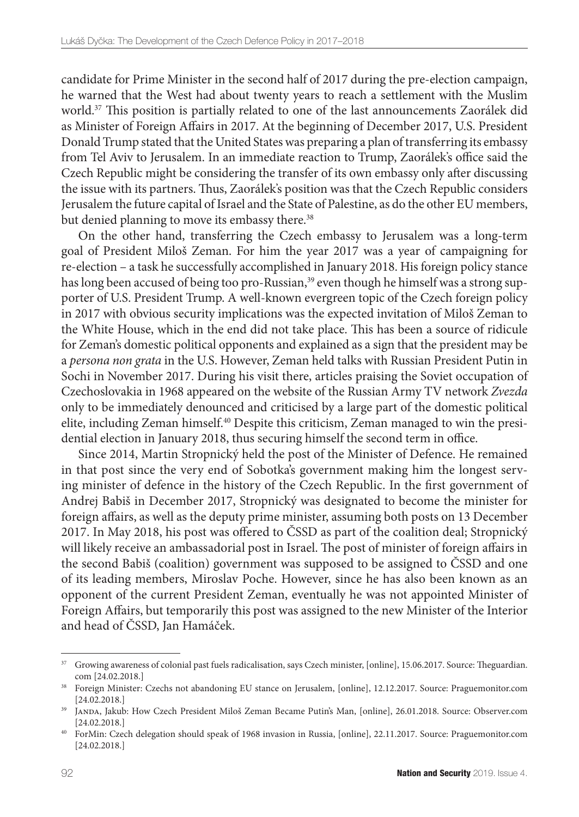candidate for Prime Minister in the second half of 2017 during the pre-election campaign, he warned that the West had about twenty years to reach a settlement with the Muslim world.37 This position is partially related to one of the last announcements Zaorálek did as Minister of Foreign Affairs in 2017. At the beginning of December 2017, U.S. President Donald Trump stated that the United States was preparing a plan of transferring its embassy from Tel Aviv to Jerusalem. In an immediate reaction to Trump, Zaorálek's office said the Czech Republic might be considering the transfer of its own embassy only after discussing the issue with its partners. Thus, Zaorálek's position was that the Czech Republic considers Jerusalem the future capital of Israel and the State of Palestine, as do the other EU members, but denied planning to move its embassy there.<sup>38</sup>

On the other hand, transferring the Czech embassy to Jerusalem was a long-term goal of President Miloš Zeman. For him the year 2017 was a year of campaigning for re-election – a task he successfully accomplished in January 2018. His foreign policy stance has long been accused of being too pro-Russian,<sup>39</sup> even though he himself was a strong supporter of U.S. President Trump. A well-known evergreen topic of the Czech foreign policy in 2017 with obvious security implications was the expected invitation of Miloš Zeman to the White House, which in the end did not take place. This has been a source of ridicule for Zeman's domestic political opponents and explained as a sign that the president may be a *persona non grata* in the U.S. However, Zeman held talks with Russian President Putin in Sochi in November 2017. During his visit there, articles praising the Soviet occupation of Czechoslovakia in 1968 appeared on the website of the Russian Army TV network *Zvezda* only to be immediately denounced and criticised by a large part of the domestic political elite, including Zeman himself.40 Despite this criticism, Zeman managed to win the presidential election in January 2018, thus securing himself the second term in office.

Since 2014, Martin Stropnický held the post of the Minister of Defence. He remained in that post since the very end of Sobotka's government making him the longest serving minister of defence in the history of the Czech Republic. In the first government of Andrej Babiš in December 2017, Stropnický was designated to become the minister for foreign affairs, as well as the deputy prime minister, assuming both posts on 13 December 2017. In May 2018, his post was offered to ČSSD as part of the coalition deal; Stropnický will likely receive an ambassadorial post in Israel. The post of minister of foreign affairs in the second Babiš (coalition) government was supposed to be assigned to ČSSD and one of its leading members, Miroslav Poche. However, since he has also been known as an opponent of the current President Zeman, eventually he was not appointed Minister of Foreign Affairs, but temporarily this post was assigned to the new Minister of the Interior and head of ČSSD, Jan Hamáček.

<sup>37</sup> [Growing awareness of colonial past fuels radicalisation, says Czech minister](https://www.theguardian.com/world/2017/jun/15/growing-awareness-of-colonial-past-fuels-radicalisation-says-czech-minister), [online], 15.06.2017. Source: Theguardian. com [24.02.2018.]

<sup>38</sup> [Foreign Minister: Czechs not abandoning EU stance on Jerusalem,](http://praguemonitor.com/2017/12/12/foreign-minister-czechs-not-abandoning-eu-stance-jerusalem) [online], 12.12.2017. Source: Praguemonitor.com [24.02.2018.]

<sup>39</sup> Janda, Jakub: [How Czech President Miloš Zeman Became Putin's Man,](http://observer.com/2018/01/how-czech-president-milos-zeman-became-vladimir-putins-man/) [online], 26.01.2018. Source: Observer.com [24.02.2018.]

<sup>40</sup> [ForMin: Czech delegation should speak of 1968 invasion in Russia](http://www.praguemonitor.com/2017/11/22/formin-czech-delegation-should-speak-1968-invasion-russia), [online], 22.11.2017. Source: Praguemonitor.com [24.02.2018.]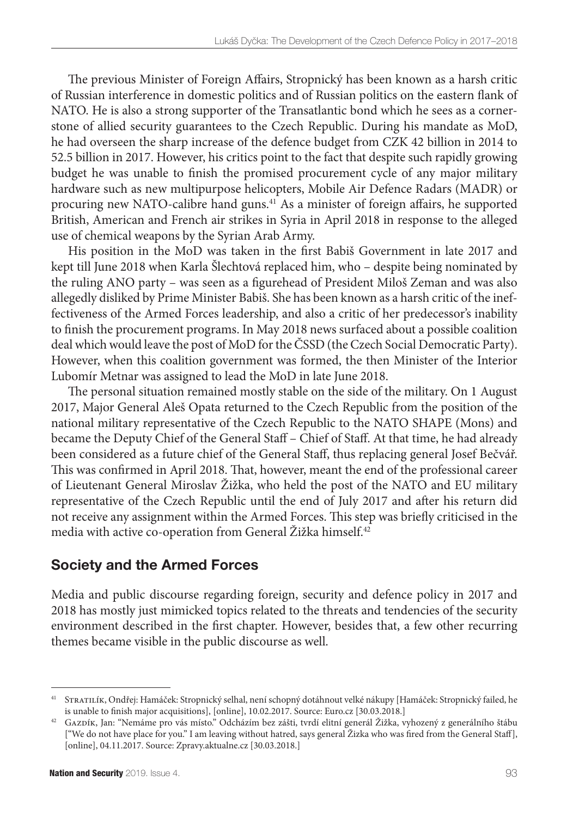The previous Minister of Foreign Affairs, Stropnický has been known as a harsh critic of Russian interference in domestic politics and of Russian politics on the eastern flank of NATO. He is also a strong supporter of the Transatlantic bond which he sees as a cornerstone of allied security guarantees to the Czech Republic. During his mandate as MoD, he had overseen the sharp increase of the defence budget from CZK 42 billion in 2014 to 52.5 billion in 2017. However, his critics point to the fact that despite such rapidly growing budget he was unable to finish the promised procurement cycle of any major military hardware such as new multipurpose helicopters, Mobile Air Defence Radars (MADR) or procuring new NATO-calibre hand guns.41 As a minister of foreign affairs, he supported British, American and French air strikes in Syria in April 2018 in response to the alleged use of chemical weapons by the Syrian Arab Army.

His position in the MoD was taken in the first Babiš Government in late 2017 and kept till June 2018 when Karla Šlechtová replaced him, who – despite being nominated by the ruling ANO party – was seen as a figurehead of President Miloš Zeman and was also allegedly disliked by Prime Minister Babiš. She has been known as a harsh critic of the ineffectiveness of the Armed Forces leadership, and also a critic of her predecessor's inability to finish the procurement programs. In May 2018 news surfaced about a possible coalition deal which would leave the post of MoD for the ČSSD (the Czech Social Democratic Party). However, when this coalition government was formed, the then Minister of the Interior Lubomír Metnar was assigned to lead the MoD in late June 2018.

The personal situation remained mostly stable on the side of the military. On 1 August 2017, Major General Aleš Opata returned to the Czech Republic from the position of the national military representative of the Czech Republic to the NATO SHAPE (Mons) and became the Deputy Chief of the General Staff – Chief of Staff. At that time, he had already been considered as a future chief of the General Staff, thus replacing general Josef Bečvář. This was confirmed in April 2018. That, however, meant the end of the professional career of Lieutenant General Miroslav Žižka, who held the post of the NATO and EU military representative of the Czech Republic until the end of July 2017 and after his return did not receive any assignment within the Armed Forces. This step was briefly criticised in the media with active co-operation from General Žižka himself.<sup>42</sup>

## Society and the Armed Forces

Media and public discourse regarding foreign, security and defence policy in 2017 and 2018 has mostly just mimicked topics related to the threats and tendencies of the security environment described in the first chapter. However, besides that, a few other recurring themes became visible in the public discourse as well.

<sup>41</sup> Stratilík, Ondřej: [Hamáček: Stropnický selhal, není schopný dotáhnout velké nákupy](https://www.euro.cz/politika/hamacek-stropnicky-selhal-a-neni-schopny-dotahnout-velke-nakupy-1329847) [Hamáček: Stropnický failed, he is unable to finish major acquisitions], [online], 10.02.2017. Source: Euro.cz [30.03.2018.]

<sup>42</sup> Gazdík, Jan: ["Nemáme pro vás místo." Odcházím bez zášti, tvrdí elitní generál Žižka, vyhozený z generálního štábu](https://zpravy.aktualne.cz/zahranici/ze-jsem-byl-v-nato-az-prilis-aktivni-a-nadelal-si-nepratele/r~1f495f08bc8f11e79c7c002590604f2e/) ["We do not have place for you." I am leaving without hatred, says general Žizka who was fired from the General Staff], [online], 04.11.2017. Source: Zpravy.aktualne.cz [30.03.2018.]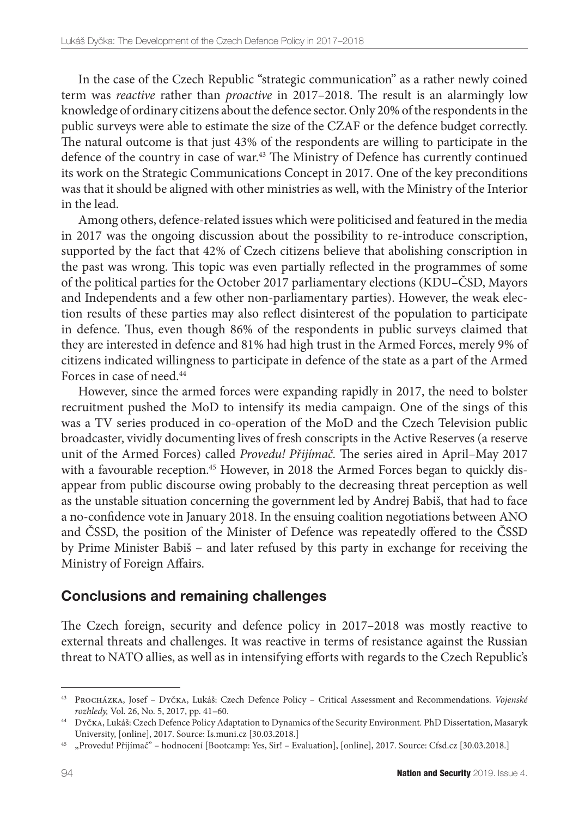In the case of the Czech Republic "strategic communication" as a rather newly coined term was *reactive* rather than *proactive* in 2017–2018. The result is an alarmingly low knowledge of ordinary citizens about the defence sector. Only 20% of the respondents in the public surveys were able to estimate the size of the CZAF or the defence budget correctly. The natural outcome is that just 43% of the respondents are willing to participate in the defence of the country in case of war.43 The Ministry of Defence has currently continued its work on the Strategic Communications Concept in 2017. One of the key preconditions was that it should be aligned with other ministries as well, with the Ministry of the Interior in the lead.

Among others, defence-related issues which were politicised and featured in the media in 2017 was the ongoing discussion about the possibility to re-introduce conscription, supported by the fact that 42% of Czech citizens believe that abolishing conscription in the past was wrong. This topic was even partially reflected in the programmes of some of the political parties for the October 2017 parliamentary elections (KDU–ČSD, Mayors and Independents and a few other non-parliamentary parties). However, the weak election results of these parties may also reflect disinterest of the population to participate in defence. Thus, even though 86% of the respondents in public surveys claimed that they are interested in defence and 81% had high trust in the Armed Forces, merely 9% of citizens indicated willingness to participate in defence of the state as a part of the Armed Forces in case of need.<sup>44</sup>

However, since the armed forces were expanding rapidly in 2017, the need to bolster recruitment pushed the MoD to intensify its media campaign. One of the sings of this was a TV series produced in co-operation of the MoD and the Czech Television public broadcaster, vividly documenting lives of fresh conscripts in the Active Reserves (a reserve unit of the Armed Forces) called *Provedu! Přijímač.* The series aired in April–May 2017 with a favourable reception.<sup>45</sup> However, in 2018 the Armed Forces began to quickly disappear from public discourse owing probably to the decreasing threat perception as well as the unstable situation concerning the government led by Andrej Babiš, that had to face a no-confidence vote in January 2018. In the ensuing coalition negotiations between ANO and ČSSD, the position of the Minister of Defence was repeatedly offered to the ČSSD by Prime Minister Babiš – and later refused by this party in exchange for receiving the Ministry of Foreign Affairs.

#### Conclusions and remaining challenges

The Czech foreign, security and defence policy in 2017–2018 was mostly reactive to external threats and challenges. It was reactive in terms of resistance against the Russian threat to NATO allies, as well as in intensifying efforts with regards to the Czech Republic's

<sup>43</sup> Procházka, Josef – Dyčka, Lukáš: Czech Defence Policy – Critical Assessment and Recommendations. *Vojenské rozhledy,* Vol. 26, No. 5, 2017, pp. 41–60.

<sup>44</sup> Dyčka, Lukáš: [Czech Defence Policy Adaptation to Dynamics of the Security Environment](https://is.muni.cz/th/181852/fss_d/)*.* PhD Dissertation, Masaryk University, [online], 2017. Source: Is.muni.cz [30.03.2018.]

<sup>45</sup> ["Provedu! Přijímač" – hodnocení](https://www.csfd.cz/film/476710-provedu-prijimac/prehled/) [Bootcamp: Yes, Sir! – Evaluation], [online], 2017. Source: Cfsd.cz [30.03.2018.]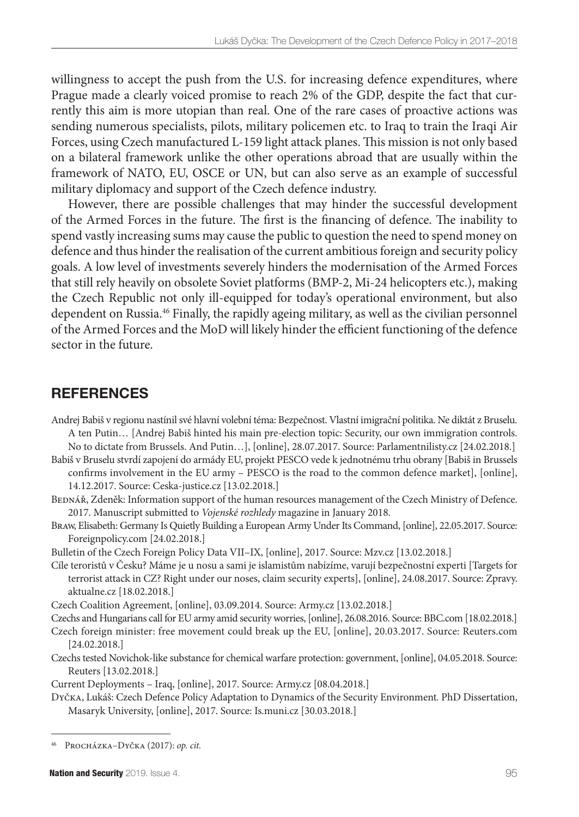willingness to accept the push from the U.S. for increasing defence expenditures, where Prague made a clearly voiced promise to reach 2% of the GDP, despite the fact that currently this aim is more utopian than real. One of the rare cases of proactive actions was sending numerous specialists, pilots, military policemen etc. to Iraq to train the Iraqi Air Forces, using Czech manufactured L-159 light attack planes. This mission is not only based on a bilateral framework unlike the other operations abroad that are usually within the framework of NATO, EU, OSCE or UN, but can also serve as an example of successful military diplomacy and support of the Czech defence industry.

However, there are possible challenges that may hinder the successful development of the Armed Forces in the future. The first is the financing of defence. The inability to spend vastly increasing sums may cause the public to question the need to spend money on defence and thus hinder the realisation of the current ambitious foreign and security policy goals. A low level of investments severely hinders the modernisation of the Armed Forces that still rely heavily on obsolete Soviet platforms (BMP-2, Mi-24 helicopters etc.), making the Czech Republic not only ill-equipped for today's operational environment, but also dependent on Russia.46 Finally, the rapidly ageing military, as well as the civilian personnel of the Armed Forces and the MoD will likely hinder the efficient functioning of the defence sector in the future.

# **REFERENCES**

[Andrej Babiš v regionu nastínil své hlavní volební téma: Bezpečnost. Vlastní imigrační politika. Ne diktát z Bruselu.](https://www.parlamentnilisty.cz/politika/poslanecka-snemovna/Andrej-Babis-v-regionu-nastinil-sve-hlavni-volebni-tema-Bezpecnost-Vlastni-imigracni-politika-Ne-diktat-z-Bruselu-A-ten-Putin-497869)  [A ten Putin…](https://www.parlamentnilisty.cz/politika/poslanecka-snemovna/Andrej-Babis-v-regionu-nastinil-sve-hlavni-volebni-tema-Bezpecnost-Vlastni-imigracni-politika-Ne-diktat-z-Bruselu-A-ten-Putin-497869) [Andrej Babiš hinted his main pre-election topic: Security, our own immigration controls. No to dictate from Brussels. And Putin…], [online], 28.07.2017. Source: Parlamentnilisty.cz [24.02.2018.]

[Babiš v Bruselu stvrdí zapojení do armády EU, projekt PESCO vede k jednotnému trhu obrany](http://www.ceska-justice.cz/2017/12/babis-bruselu-stvrdi-zapojeni-armady-eu-projekt-pesco-vede-k-jednotnemu-trhu-obrany/) [Babiš in Brussels confirms involvement in the EU army – PESCO is the road to the common defence market], [online], 14.12.2017. Source: Ceska-justice.cz [13.02.2018.]

BEDNÁŘ, Zdeněk: Information support of the human resources management of the Czech Ministry of Defence. 2017. Manuscript submitted to *Vojenské rozhledy* magazine in January 2018.

Braw, Elisabeth[: Germany Is Quietly Building a European Army Under Its Command,](http://foreignpolicy.com/2017/05/22/germany-is-quietly-building-a-european-army-under-its-command/) [online], 22.05.2017. Source: Foreignpolicy.com [24.02.2018.]

[Bulletin of the Czech Foreign Policy Data VII–IX](https://www.mzv.cz/jnp/cz/o_ministerstvu/organizacni_struktura/utvary_mzv/oazi_/mesicnik_zahranicni_politika_ceske.html), [online], 2017. Source: Mzv.cz [13.02.2018.]

[Cíle teroristů v Česku? Máme je u nosu a sami je islamistům nabízíme, varují bezpečnostní experti](https://zpravy.aktualne.cz/zahranici/cile-teroristu-mame-je-u-nosu-a-sami-je-islamistum-nabizime/r~1a314bba871111e7aec7002590604f2e/
) [Targets for terrorist attack in CZ? Right under our noses, claim security experts], [online], 24.08.2017. Source: Zpravy. aktualne.cz [18.02.2018.]

[Czech Coalition Agreement,](http://www.army.cz/en/ministry-of-defence/newsroom/news/czech-governmental-coalition-sign-agreement-on-the-progressive-increase-of-the-defence-budget-101455) [online], 03.09.2014. Source: Army.cz [13.02.2018.]

[Czechs and Hungarians call for EU army amid security worries,](http://www.bbc.com/news/world-europe-37196802) [online], 26.08.2016. Source: BBC.com [18.02.2018.]

- [Czech foreign minister: free movement could break up the EU,](https://www.reuters.com/article/us-britain-eu-czech-minister/czech-foreign-minister-free-movement-could-break-up-the-eu-idUSKBN16R0QI) [online], 20.03.2017. Source: Reuters.com [24.02.2018.]
- [Czechs tested Novichok-like substance for chemical warfare protection: government,](https://www.reuters.com/article/us-britain-russia-skripal-czech/czechs-tested-novichok-like-substance-for-chemical-warfare-protection-government-idUSKBN1I51K2) [online], 04.05.2018. Source: Reuters [13.02.2018.]

[Current Deployments – Iraq](http://www.army.cz/en/foreign-operations/current/iraq/cbrn-training-team-140586/), [online], 2017. Source: Army.cz [08.04.2018.]

Dyčka, Lukáš: [Czech Defence Policy Adaptation to Dynamics of the Security Environment](https://is.muni.cz/th/181852/fss_d/)*.* PhD Dissertation, Masaryk University, [online], 2017. Source: Is.muni.cz [30.03.2018.]

<sup>46</sup> Procházka–Dyčka (2017): *op. cit.*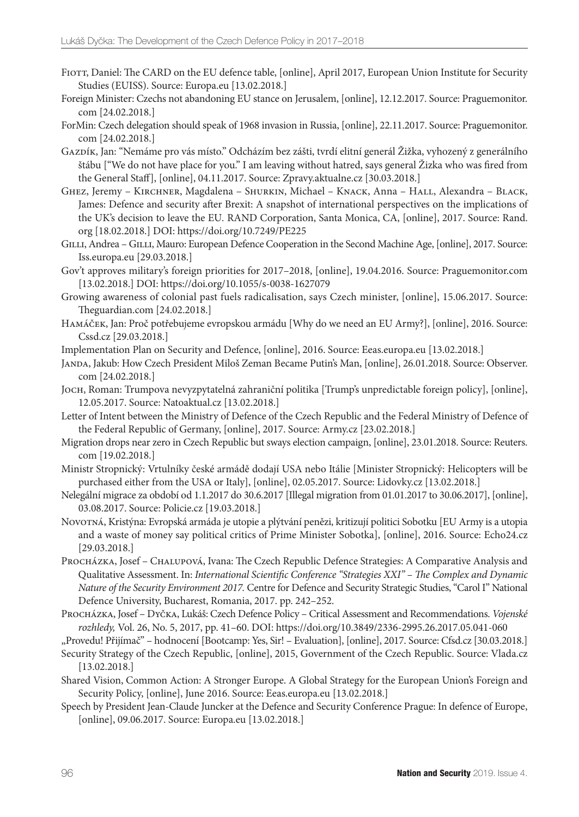- FIOTT, Daniel: [The CARD on the EU defence table](https://europa.eu/globalstrategy/sites/globalstrategy/files/opinion/files/the-card-on-the-eu-defence-table.pdf), [online], April 2017, European Union Institute for Security Studies (EUISS). Source: Europa.eu [13.02.2018.]
- [Foreign Minister: Czechs not abandoning EU stance on Jerusalem](http://praguemonitor.com/2017/12/12/foreign-minister-czechs-not-abandoning-eu-stance-jerusalem), [online], 12.12.2017. Source: Praguemonitor. com [24.02.2018.]
- [ForMin: Czech delegation should speak of 1968 invasion in Russia](http://www.praguemonitor.com/2017/11/22/formin-czech-delegation-should-speak-1968-invasion-russia), [online], 22.11.2017. Source: Praguemonitor. com [24.02.2018.]
- Gazdík, Jan: ["Nemáme pro vás místo." Odcházím bez zášti, tvrdí elitní generál Žižka, vyhozený z generálního](https://zpravy.aktualne.cz/zahranici/ze-jsem-byl-v-nato-az-prilis-aktivni-a-nadelal-si-nepratele/r~1f495f08bc8f11e79c7c002590604f2e/) [štábu](https://zpravy.aktualne.cz/zahranici/ze-jsem-byl-v-nato-az-prilis-aktivni-a-nadelal-si-nepratele/r~1f495f08bc8f11e79c7c002590604f2e/) ["We do not have place for you." I am leaving without hatred, says general Žizka who was fired from the General Staff], [online], 04.11.2017. Source: Zpravy.aktualne.cz [30.03.2018.]
- Ghez, Jeremy Kirchner, Magdalena Shurkin, Michael Knack, Anna Hall, Alexandra Black, James: [Defence and security after Brexit: A snapshot of international perspectives on the implications of](https://www.rand.org/pubs/perspectives/PE225.html) [the UK's decision to leave the EU](https://www.rand.org/pubs/perspectives/PE225.html)*.* RAND Corporation, Santa Monica, CA, [online], 2017. Source: Rand. org [18.02.2018.] DOI: <https://doi.org/10.7249/PE225>
- GILLI, Andrea GILLI, Mauro: [European Defence Cooperation in the Second Machine Age,](http://www.iss.europa.eu/de/publikationen/detail/article/european-defence-cooperation-in-the-second-machine-age/) [online], 2017. Source: Iss.europa.eu [29.03.2018.]
- [Gov't approves military's foreign priorities for 2017–2018,](http://www.praguemonitor.com/2016/04/19/govt-approves-militarys-foreign-priorities-2017-2018) [online], 19.04.2016. Source: Praguemonitor.com [13.02.2018.] DOI: https://doi.org/10.1055/s-0038-1627079
- [Growing awareness of colonial past fuels radicalisation, says Czech minister,](https://www.theguardian.com/world/2017/jun/15/growing-awareness-of-colonial-past-fuels-radicalisation-says-czech-minister) [online], 15.06.2017. Source: Theguardian.com [24.02.2018.]
- Hamáček, Jan: [Proč potřebujeme evropskou armádu](https://www.cssd.cz/aktualne/blogy/proc-potrebujeme-evropskou-armadu/) [Why do we need an EU Army?], [online], 2016. Source: Cssd.cz [29.03.2018.]
- [Implementation Plan on Security and Defence](https://eeas.europa.eu/sites/eeas/files/implementation_plan_on_security_and_defence_02-03-2018_jus_0.pdf), [online], 2016. Source: Eeas.europa.eu [13.02.2018.]
- Janda, Jakub: [How Czech President Miloš Zeman Became Putin's Man](http://observer.com/2018/01/how-czech-president-milos-zeman-became-vladimir-putins-man/), [online], 26.01.2018. Source: Observer. com [24.02.2018.]
- Joch, Roman: [Trumpova nevyzpytatelná zahraniční politika](https://www.natoaktual.cz/analyzy-a-komentare/trumpova-nevyzpytatelna-zahranicni-politika.A170512_105230_na_analyzy_m02) [Trump's unpredictable foreign policy], [online], 12.05.2017. Source: Natoaktual.cz [13.02.2018.]
- [Letter of Intent between the Ministry of Defence of the Czech Republic and the Federal Ministry of Defence of](http://www.army.cz/assets/informacniservis/zpravodajstvi/smlouva-cr-srn_1.pdf) [the Federal Republic of Germany,](http://www.army.cz/assets/informacniservis/zpravodajstvi/smlouva-cr-srn_1.pdf) [online], 2017. Source: Army.cz [23.02.2018.]
- [Migration drops near zero in Czech Republic but sways election campaign](https://www.reuters.com/article/us-czech-election-president-migration/migration-drops-near-zero-in-czech-republic-but-sways-election-campaign-idUSKBN1FC25N), [online], 23.01.2018. Source: Reuters. com [19.02.2018.]
- [Ministr Stropnický: Vrtulníky české armádě dodají USA nebo Itálie](http://www.lidovky.cz/ministr-stropnicky-vrtulniky-ceske-armade-dodaji-usa-nebo-italie-p9d-/zpravy-svet.aspx?c=A170502_224422_ln_zahranici_ELE) [Minister Stropnický: Helicopters will be purchased either from the USA or Italy], [online], 02.05.2017. Source: Lidovky.cz [13.02.2018.]
- [Nelegální migrace za období od 1.1.2017 do 30.6.2017](http://www.policie.cz/clanek/nelegalni-migrace-za-obdobi-od-1-1-2017-do-30-6-2017.aspx) [Illegal migration from 01.01.2017 to 30.06.2017], [online], 03.08.2017. Source: Policie.cz [19.03.2018.]
- Novotná, Kristýna: [Evropská armáda je utopie a plýtvání penězi, kritizují politici Sobotku](http://echo24.cz/a/iubn7/evropska-armada-je-utopie-a-plytvani-penezi-kritizuji-politici-sobotku) [EU Army is a utopia and a waste of money say political critics of Prime Minister Sobotka], [online], 2016. Source: Echo24.cz [29.03.2018.]
- Procházka, Josef Chalupová, Ivana: The Czech Republic Defence Strategies: A Comparative Analysis and Qualitative Assessment. In: *International Scientific Conference "Strategies XXI" – The Complex and Dynamic Nature of the Security Environment 2017.* Centre for Defence and Security Strategic Studies, "Carol I" National Defence University, Bucharest, Romania, 2017. pp. 242–252.
- Procházka, Josef Dyčka, Lukáš: Czech Defence Policy Critical Assessment and Recommendations. *Vojenské rozhledy,* Vol. 26, No. 5, 2017, pp. 41–60. DOI: https://doi.org/10.3849/2336-2995.26.2017.05.041-060
- ["Provedu! Přijímač" hodnocení](https://www.csfd.cz/film/476710-provedu-prijimac/prehled/) [Bootcamp: Yes, Sir! Evaluation], [online], 2017. Source: Cfsd.cz [30.03.2018.]
- [Security Strategy of the Czech Republic,](https://www.vlada.cz/assets/ppov/brs/dokumenty/bezpecnostni-strategie-2015.pdf) [online], 2015, Government of the Czech Republic. Source: Vlada.cz [13.02.2018.]
- [Shared Vision, Common Action: A Stronger Europe. A Global Strategy for the European Union's Foreign and](http://eeas.europa.eu/archives/docs/top_stories/pdf/eugs_review_web.pdf) [Security Policy](http://eeas.europa.eu/archives/docs/top_stories/pdf/eugs_review_web.pdf), [online], June 2016. Source: Eeas.europa.eu [13.02.2018.]
- [Speech by President Jean-Claude Juncker at the Defence and Security Conference Prague: In defence of Europe](http://europa.eu/rapid/press-release_SPEECH-17-1581_en.htm), [online], 09.06.2017. Source: Europa.eu [13.02.2018.]